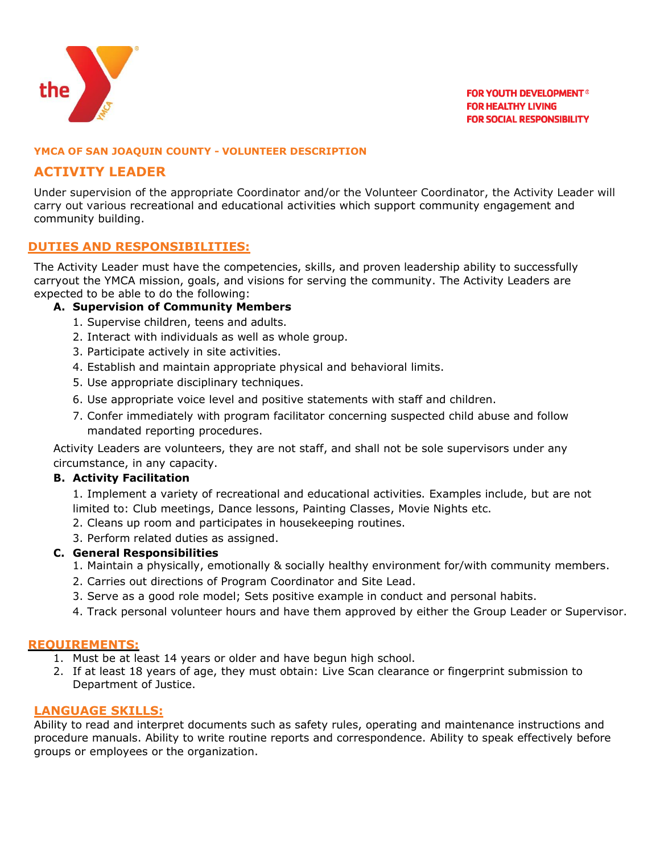

## **YMCA OF SAN JOAQUIN COUNTY - VOLUNTEER DESCRIPTION**

# **ACTIVITY LEADER**

Under supervision of the appropriate Coordinator and/or the Volunteer Coordinator, the Activity Leader will carry out various recreational and educational activities which support community engagement and community building.

## **DUTIES AND RESPONSIBILITIES:**

The Activity Leader must have the competencies, skills, and proven leadership ability to successfully carryout the YMCA mission, goals, and visions for serving the community. The Activity Leaders are expected to be able to do the following:

## **A. Supervision of Community Members**

- 1. Supervise children, teens and adults.
- 2. Interact with individuals as well as whole group.
- 3. Participate actively in site activities.
- 4. Establish and maintain appropriate physical and behavioral limits.
- 5. Use appropriate disciplinary techniques.
- 6. Use appropriate voice level and positive statements with staff and children.
- 7. Confer immediately with program facilitator concerning suspected child abuse and follow mandated reporting procedures.

Activity Leaders are volunteers, they are not staff, and shall not be sole supervisors under any circumstance, in any capacity.

## **B. Activity Facilitation**

1. Implement a variety of recreational and educational activities. Examples include, but are not limited to: Club meetings, Dance lessons, Painting Classes, Movie Nights etc.

- 2. Cleans up room and participates in housekeeping routines.
- 3. Perform related duties as assigned.

## **C. General Responsibilities**

- 1. Maintain a physically, emotionally & socially healthy environment for/with community members.
- 2. Carries out directions of Program Coordinator and Site Lead.
- 3. Serve as a good role model; Sets positive example in conduct and personal habits.
- 4. Track personal volunteer hours and have them approved by either the Group Leader or Supervisor.

## **REQUIREMENTS:**

- 1. Must be at least 14 years or older and have begun high school.
- 2. If at least 18 years of age, they must obtain: Live Scan clearance or fingerprint submission to Department of Justice.

#### **LANGUAGE SKILLS:**

Ability to read and interpret documents such as safety rules, operating and maintenance instructions and procedure manuals. Ability to write routine reports and correspondence. Ability to speak effectively before groups or employees or the organization.